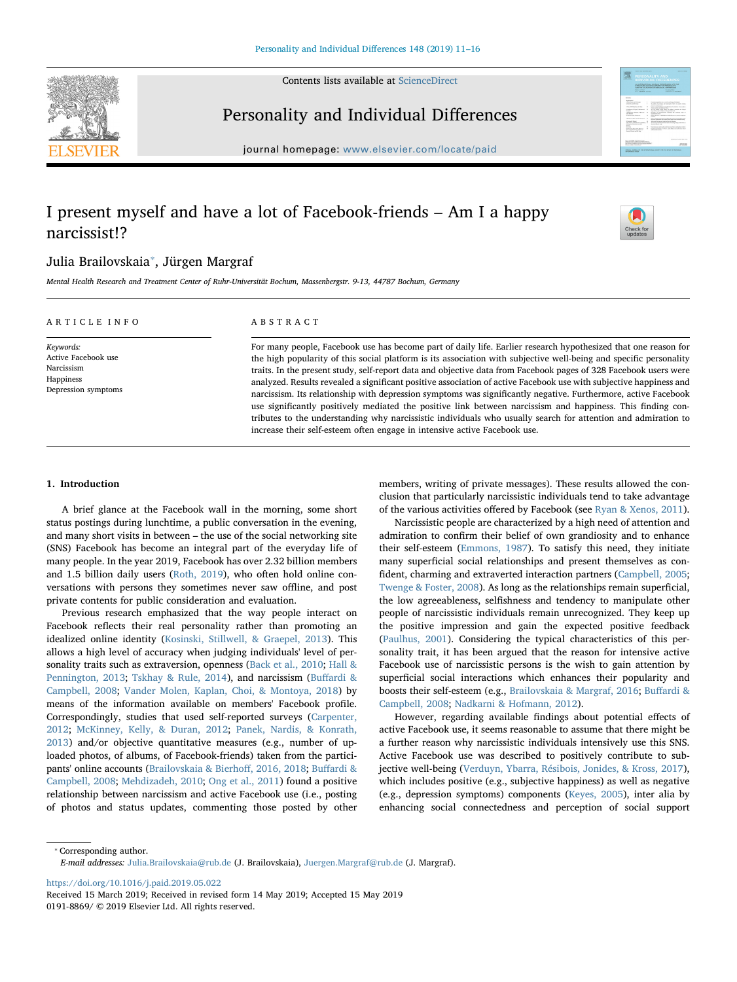Contents lists available at [ScienceDirect](http://www.sciencedirect.com/science/journal/01918869)





# Personality and Individual Differences

journal homepage: [www.elsevier.com/locate/paid](https://www.elsevier.com/locate/paid)

# I present myself and have a lot of Facebook-friends – Am I a happy narcissist!?



# Julia Brailovskaia[⁎](#page-0-0) , Jürgen Margraf

Mental Health Research and Treatment Center of Ruhr-Universität Bochum, Massenbergstr. 9-13, 44787 Bochum, Germany

| ARTICLE INFO                                                                       | ABSTRACT                                                                                                                                                                                                                                                                                                                                                                                                                                                                                                                                                                                                                                                                                                                                                                                                                                                                                                      |
|------------------------------------------------------------------------------------|---------------------------------------------------------------------------------------------------------------------------------------------------------------------------------------------------------------------------------------------------------------------------------------------------------------------------------------------------------------------------------------------------------------------------------------------------------------------------------------------------------------------------------------------------------------------------------------------------------------------------------------------------------------------------------------------------------------------------------------------------------------------------------------------------------------------------------------------------------------------------------------------------------------|
| Keywords:<br>Active Facebook use<br>Narcissism<br>Happiness<br>Depression symptoms | For many people, Facebook use has become part of daily life. Earlier research hypothesized that one reason for<br>the high popularity of this social platform is its association with subjective well-being and specific personality<br>traits. In the present study, self-report data and objective data from Facebook pages of 328 Facebook users were<br>analyzed. Results revealed a significant positive association of active Facebook use with subjective happiness and<br>narcissism. Its relationship with depression symptoms was significantly negative. Furthermore, active Facebook<br>use significantly positively mediated the positive link between narcissism and happiness. This finding con-<br>tributes to the understanding why narcissistic individuals who usually search for attention and admiration to<br>increase their self-esteem often engage in intensive active Facebook use. |

#### 1. Introduction

A brief glance at the Facebook wall in the morning, some short status postings during lunchtime, a public conversation in the evening, and many short visits in between – the use of the social networking site (SNS) Facebook has become an integral part of the everyday life of many people. In the year 2019, Facebook has over 2.32 billion members and 1.5 billion daily users [\(Roth, 2019](#page-5-0)), who often hold online conversations with persons they sometimes never saw offline, and post private contents for public consideration and evaluation.

Previous research emphasized that the way people interact on Facebook reflects their real personality rather than promoting an idealized online identity [\(Kosinski, Stillwell, & Graepel, 2013\)](#page-5-1). This allows a high level of accuracy when judging individuals' level of personality traits such as extraversion, openness ([Back et al., 2010](#page-4-0); [Hall &](#page-4-1) [Pennington, 2013](#page-4-1); [Tskhay & Rule, 2014\)](#page-5-2), and narcissism (Buff[ardi &](#page-4-2) [Campbell, 2008;](#page-4-2) [Vander Molen, Kaplan, Choi, & Montoya, 2018](#page-5-3)) by means of the information available on members' Facebook profile. Correspondingly, studies that used self-reported surveys ([Carpenter,](#page-4-3) [2012;](#page-4-3) [McKinney, Kelly, & Duran, 2012](#page-5-4); [Panek, Nardis, & Konrath,](#page-5-5) [2013\)](#page-5-5) and/or objective quantitative measures (e.g., number of uploaded photos, of albums, of Facebook-friends) taken from the participants' online accounts ([Brailovskaia & Bierho](#page-4-4)ff, 2016, 2018; Buff[ardi &](#page-4-2) [Campbell, 2008;](#page-4-2) [Mehdizadeh, 2010](#page-5-6); [Ong et al., 2011](#page-5-7)) found a positive relationship between narcissism and active Facebook use (i.e., posting of photos and status updates, commenting those posted by other

members, writing of private messages). These results allowed the conclusion that particularly narcissistic individuals tend to take advantage of the various activities offered by Facebook (see [Ryan & Xenos, 2011](#page-5-8)).

Narcissistic people are characterized by a high need of attention and admiration to confirm their belief of own grandiosity and to enhance their self-esteem ([Emmons, 1987\)](#page-4-5). To satisfy this need, they initiate many superficial social relationships and present themselves as confident, charming and extraverted interaction partners ([Campbell, 2005](#page-4-6); [Twenge & Foster, 2008](#page-5-9)). As long as the relationships remain superficial, the low agreeableness, selfishness and tendency to manipulate other people of narcissistic individuals remain unrecognized. They keep up the positive impression and gain the expected positive feedback ([Paulhus, 2001\)](#page-5-10). Considering the typical characteristics of this personality trait, it has been argued that the reason for intensive active Facebook use of narcissistic persons is the wish to gain attention by superficial social interactions which enhances their popularity and boosts their self-esteem (e.g., [Brailovskaia & Margraf, 2016](#page-4-7); Buff[ardi &](#page-4-2) [Campbell, 2008;](#page-4-2) [Nadkarni & Hofmann, 2012\)](#page-5-11).

However, regarding available findings about potential effects of active Facebook use, it seems reasonable to assume that there might be a further reason why narcissistic individuals intensively use this SNS. Active Facebook use was described to positively contribute to subjective well-being ([Verduyn, Ybarra, Résibois, Jonides, & Kross, 2017](#page-5-12)), which includes positive (e.g., subjective happiness) as well as negative (e.g., depression symptoms) components ([Keyes, 2005\)](#page-4-8), inter alia by enhancing social connectedness and perception of social support

<span id="page-0-0"></span>⁎ Corresponding author. E-mail addresses: [Julia.Brailovskaia@rub.de](mailto:Julia.Brailovskaia@rub.de) (J. Brailovskaia), [Juergen.Margraf@rub.de](mailto:Juergen.Margraf@rub.de) (J. Margraf).

<https://doi.org/10.1016/j.paid.2019.05.022>

Received 15 March 2019; Received in revised form 14 May 2019; Accepted 15 May 2019 0191-8869/ © 2019 Elsevier Ltd. All rights reserved.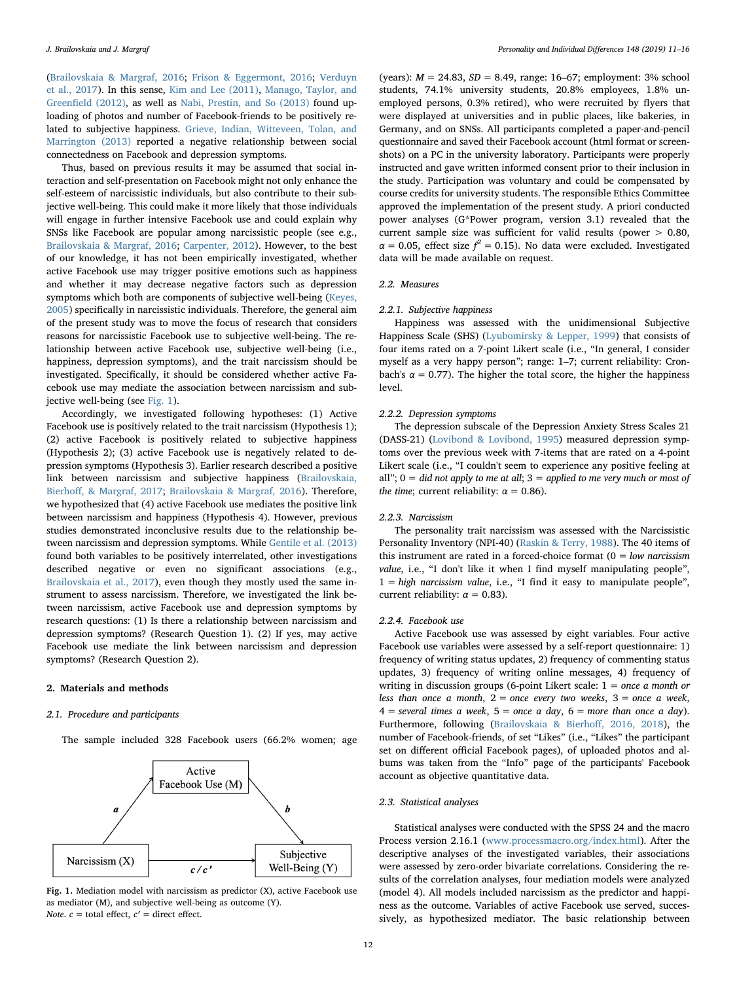([Brailovskaia & Margraf, 2016](#page-4-7); [Frison & Eggermont, 2016;](#page-4-9) [Verduyn](#page-5-12) [et al., 2017\)](#page-5-12). In this sense, [Kim and Lee \(2011\)](#page-4-10), [Manago, Taylor, and](#page-5-13) Greenfi[eld \(2012\),](#page-5-13) as well as [Nabi, Prestin, and So \(2013\)](#page-5-14) found uploading of photos and number of Facebook-friends to be positively related to subjective happiness. [Grieve, Indian, Witteveen, Tolan, and](#page-4-11) [Marrington \(2013\)](#page-4-11) reported a negative relationship between social connectedness on Facebook and depression symptoms.

Thus, based on previous results it may be assumed that social interaction and self-presentation on Facebook might not only enhance the self-esteem of narcissistic individuals, but also contribute to their subjective well-being. This could make it more likely that those individuals will engage in further intensive Facebook use and could explain why SNSs like Facebook are popular among narcissistic people (see e.g., [Brailovskaia & Margraf, 2016](#page-4-7); [Carpenter, 2012\)](#page-4-3). However, to the best of our knowledge, it has not been empirically investigated, whether active Facebook use may trigger positive emotions such as happiness and whether it may decrease negative factors such as depression symptoms which both are components of subjective well-being [\(Keyes,](#page-4-8) [2005\)](#page-4-8) specifically in narcissistic individuals. Therefore, the general aim of the present study was to move the focus of research that considers reasons for narcissistic Facebook use to subjective well-being. The relationship between active Facebook use, subjective well-being (i.e., happiness, depression symptoms), and the trait narcissism should be investigated. Specifically, it should be considered whether active Facebook use may mediate the association between narcissism and subjective well-being (see [Fig. 1\)](#page-1-0).

Accordingly, we investigated following hypotheses: (1) Active Facebook use is positively related to the trait narcissism (Hypothesis 1); (2) active Facebook is positively related to subjective happiness (Hypothesis 2); (3) active Facebook use is negatively related to depression symptoms (Hypothesis 3). Earlier research described a positive link between narcissism and subjective happiness [\(Brailovskaia,](#page-4-12) Bierhoff[, & Margraf, 2017;](#page-4-12) [Brailovskaia & Margraf, 2016\)](#page-4-7). Therefore, we hypothesized that (4) active Facebook use mediates the positive link between narcissism and happiness (Hypothesis 4). However, previous studies demonstrated inconclusive results due to the relationship between narcissism and depression symptoms. While [Gentile et al. \(2013\)](#page-4-13) found both variables to be positively interrelated, other investigations described negative or even no significant associations (e.g., [Brailovskaia et al., 2017](#page-4-12)), even though they mostly used the same instrument to assess narcissism. Therefore, we investigated the link between narcissism, active Facebook use and depression symptoms by research questions: (1) Is there a relationship between narcissism and depression symptoms? (Research Question 1). (2) If yes, may active Facebook use mediate the link between narcissism and depression symptoms? (Research Question 2).

# 2. Materials and methods

#### 2.1. Procedure and participants

The sample included 328 Facebook users (66.2% women; age

<span id="page-1-0"></span>

Fig. 1. Mediation model with narcissism as predictor (X), active Facebook use as mediator (M), and subjective well-being as outcome (Y). Note.  $c =$  total effect,  $c' =$  direct effect.

(years):  $M = 24.83$ ,  $SD = 8.49$ , range: 16–67; employment: 3% school students, 74.1% university students, 20.8% employees, 1.8% unemployed persons, 0.3% retired), who were recruited by flyers that were displayed at universities and in public places, like bakeries, in Germany, and on SNSs. All participants completed a paper-and-pencil questionnaire and saved their Facebook account (html format or screenshots) on a PC in the university laboratory. Participants were properly instructed and gave written informed consent prior to their inclusion in the study. Participation was voluntary and could be compensated by course credits for university students. The responsible Ethics Committee approved the implementation of the present study. A priori conducted power analyses (G\*Power program, version 3.1) revealed that the current sample size was sufficient for valid results (power  $> 0.80$ ,  $\alpha = 0.05$ , effect size  $f^2 = 0.15$ ). No data were excluded. Investigated data will be made available on request.

# 2.2. Measures

#### 2.2.1. Subjective happiness

Happiness was assessed with the unidimensional Subjective Happiness Scale (SHS) [\(Lyubomirsky & Lepper, 1999\)](#page-5-15) that consists of four items rated on a 7-point Likert scale (i.e., "In general, I consider myself as a very happy person"; range: 1–7; current reliability: Cronbach's  $\alpha$  = 0.77). The higher the total score, the higher the happiness level.

#### 2.2.2. Depression symptoms

The depression subscale of the Depression Anxiety Stress Scales 21 (DASS-21) ([Lovibond & Lovibond, 1995\)](#page-5-16) measured depression symptoms over the previous week with 7-items that are rated on a 4-point Likert scale (i.e., "I couldn't seem to experience any positive feeling at all";  $0 =$  did not apply to me at all;  $3 =$  applied to me very much or most of the time; current reliability:  $\alpha = 0.86$ ).

#### 2.2.3. Narcissism

The personality trait narcissism was assessed with the Narcissistic Personality Inventory (NPI-40) [\(Raskin & Terry, 1988](#page-5-17)). The 40 items of this instrument are rated in a forced-choice format  $(0 = low \text{ narcissism})$ value, i.e., "I don't like it when I find myself manipulating people",  $1 = high$  narcissism value, i.e., "I find it easy to manipulate people", current reliability:  $\alpha = 0.83$ ).

#### 2.2.4. Facebook use

Active Facebook use was assessed by eight variables. Four active Facebook use variables were assessed by a self-report questionnaire: 1) frequency of writing status updates, 2) frequency of commenting status updates, 3) frequency of writing online messages, 4) frequency of writing in discussion groups (6-point Likert scale:  $1 = once$  a month or less than once a month,  $2 =$  once every two weeks,  $3 =$  once a week,  $4 = several times a week, 5 = once a day, 6 = more than once a day).$ Furthermore, following [\(Brailovskaia & Bierho](#page-4-4)ff, 2016, 2018), the number of Facebook-friends, of set "Likes" (i.e., "Likes" the participant set on different official Facebook pages), of uploaded photos and albums was taken from the "Info" page of the participants' Facebook account as objective quantitative data.

# 2.3. Statistical analyses

Statistical analyses were conducted with the SPSS 24 and the macro Process version 2.16.1 ([www.processmacro.org/index.html](http://www.processmacro.org/index.html)). After the descriptive analyses of the investigated variables, their associations were assessed by zero-order bivariate correlations. Considering the results of the correlation analyses, four mediation models were analyzed (model 4). All models included narcissism as the predictor and happiness as the outcome. Variables of active Facebook use served, successively, as hypothesized mediator. The basic relationship between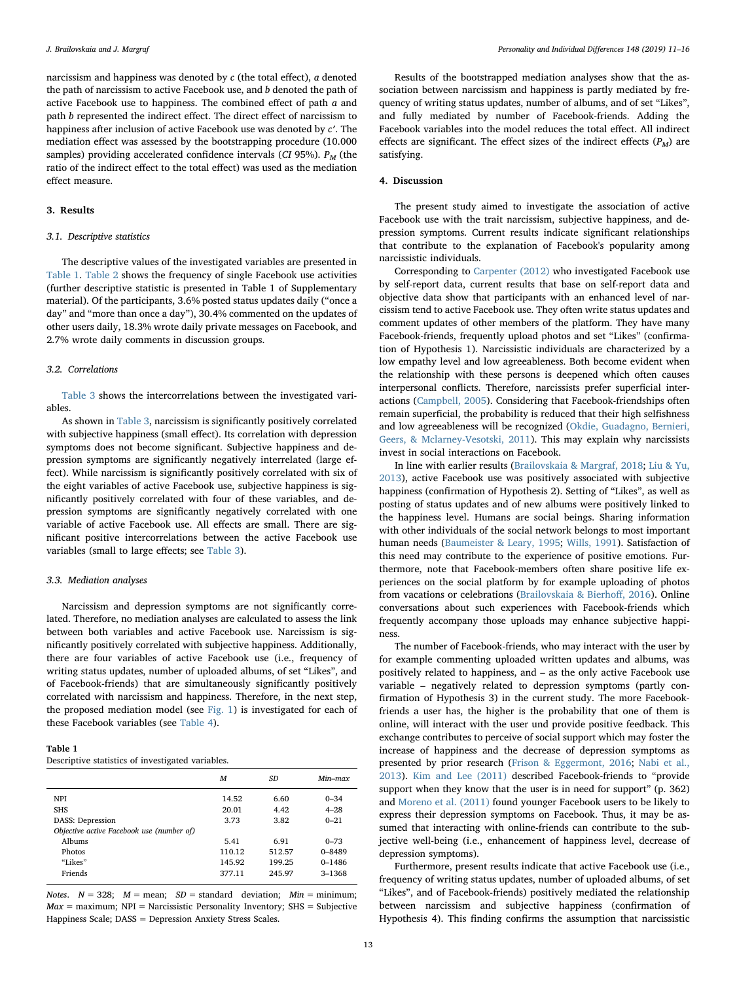narcissism and happiness was denoted by  $c$  (the total effect),  $a$  denoted the path of narcissism to active Facebook use, and b denoted the path of active Facebook use to happiness. The combined effect of path a and path b represented the indirect effect. The direct effect of narcissism to happiness after inclusion of active Facebook use was denoted by c′. The mediation effect was assessed by the bootstrapping procedure (10.000 samples) providing accelerated confidence intervals (CI 95%).  $P_M$  (the ratio of the indirect effect to the total effect) was used as the mediation effect measure.

# 3. Results

## 3.1. Descriptive statistics

The descriptive values of the investigated variables are presented in [Table 1](#page-2-0). [Table 2](#page-3-0) shows the frequency of single Facebook use activities (further descriptive statistic is presented in Table 1 of Supplementary material). Of the participants, 3.6% posted status updates daily ("once a day" and "more than once a day"), 30.4% commented on the updates of other users daily, 18.3% wrote daily private messages on Facebook, and 2.7% wrote daily comments in discussion groups.

## 3.2. Correlations

[Table 3](#page-3-1) shows the intercorrelations between the investigated variables.

As shown in [Table 3,](#page-3-1) narcissism is significantly positively correlated with subjective happiness (small effect). Its correlation with depression symptoms does not become significant. Subjective happiness and depression symptoms are significantly negatively interrelated (large effect). While narcissism is significantly positively correlated with six of the eight variables of active Facebook use, subjective happiness is significantly positively correlated with four of these variables, and depression symptoms are significantly negatively correlated with one variable of active Facebook use. All effects are small. There are significant positive intercorrelations between the active Facebook use variables (small to large effects; see [Table 3](#page-3-1)).

#### 3.3. Mediation analyses

Narcissism and depression symptoms are not significantly correlated. Therefore, no mediation analyses are calculated to assess the link between both variables and active Facebook use. Narcissism is significantly positively correlated with subjective happiness. Additionally, there are four variables of active Facebook use (i.e., frequency of writing status updates, number of uploaded albums, of set "Likes", and of Facebook-friends) that are simultaneously significantly positively correlated with narcissism and happiness. Therefore, in the next step, the proposed mediation model (see [Fig. 1\)](#page-1-0) is investigated for each of these Facebook variables (see [Table 4](#page-4-14)).

<span id="page-2-0"></span>

| Table 1 |  |                                                   |  |
|---------|--|---------------------------------------------------|--|
|         |  | Descriptive statistics of investigated variables. |  |

|                                           | M      | SD     | $Min-max$  |
|-------------------------------------------|--------|--------|------------|
| <b>NPI</b>                                | 14.52  | 6.60   | $0 - 34$   |
| <b>SHS</b>                                | 20.01  | 4.42   | $4 - 28$   |
| DASS: Depression                          | 3.73   | 3.82   | $0 - 21$   |
| Objective active Facebook use (number of) |        |        |            |
| Albums                                    | 5.41   | 6.91   | $0 - 73$   |
| Photos                                    | 110.12 | 512.57 | $0 - 8489$ |
| "Likes"                                   | 145.92 | 199.25 | $0 - 1486$ |
| Friends                                   | 377.11 | 245.97 | 3-1368     |

Notes.  $N = 328$ ;  $M =$  mean;  $SD =$  standard deviation;  $Min =$  minimum;  $Max =$  maximum; NPI = Narcissistic Personality Inventory; SHS = Subjective Happiness Scale; DASS = Depression Anxiety Stress Scales.

Results of the bootstrapped mediation analyses show that the association between narcissism and happiness is partly mediated by frequency of writing status updates, number of albums, and of set "Likes", and fully mediated by number of Facebook-friends. Adding the Facebook variables into the model reduces the total effect. All indirect effects are significant. The effect sizes of the indirect effects  $(P_M)$  are satisfying.

#### 4. Discussion

The present study aimed to investigate the association of active Facebook use with the trait narcissism, subjective happiness, and depression symptoms. Current results indicate significant relationships that contribute to the explanation of Facebook's popularity among narcissistic individuals.

Corresponding to [Carpenter \(2012\)](#page-4-3) who investigated Facebook use by self-report data, current results that base on self-report data and objective data show that participants with an enhanced level of narcissism tend to active Facebook use. They often write status updates and comment updates of other members of the platform. They have many Facebook-friends, frequently upload photos and set "Likes" (confirmation of Hypothesis 1). Narcissistic individuals are characterized by a low empathy level and low agreeableness. Both become evident when the relationship with these persons is deepened which often causes interpersonal conflicts. Therefore, narcissists prefer superficial interactions [\(Campbell, 2005](#page-4-6)). Considering that Facebook-friendships often remain superficial, the probability is reduced that their high selfishness and low agreeableness will be recognized ([Okdie, Guadagno, Bernieri,](#page-5-18) [Geers, & Mclarney-Vesotski, 2011](#page-5-18)). This may explain why narcissists invest in social interactions on Facebook.

In line with earlier results ([Brailovskaia & Margraf, 2018;](#page-4-15) [Liu & Yu,](#page-5-19) [2013\)](#page-5-19), active Facebook use was positively associated with subjective happiness (confirmation of Hypothesis 2). Setting of "Likes", as well as posting of status updates and of new albums were positively linked to the happiness level. Humans are social beings. Sharing information with other individuals of the social network belongs to most important human needs ([Baumeister & Leary, 1995](#page-4-16); [Wills, 1991\)](#page-5-20). Satisfaction of this need may contribute to the experience of positive emotions. Furthermore, note that Facebook-members often share positive life experiences on the social platform by for example uploading of photos from vacations or celebrations ([Brailovskaia & Bierho](#page-4-4)ff, 2016). Online conversations about such experiences with Facebook-friends which frequently accompany those uploads may enhance subjective happiness.

The number of Facebook-friends, who may interact with the user by for example commenting uploaded written updates and albums, was positively related to happiness, and – as the only active Facebook use variable – negatively related to depression symptoms (partly confirmation of Hypothesis 3) in the current study. The more Facebookfriends a user has, the higher is the probability that one of them is online, will interact with the user und provide positive feedback. This exchange contributes to perceive of social support which may foster the increase of happiness and the decrease of depression symptoms as presented by prior research ([Frison & Eggermont, 2016;](#page-4-9) [Nabi et al.,](#page-5-14) [2013\)](#page-5-14). [Kim and Lee \(2011\)](#page-4-10) described Facebook-friends to "provide support when they know that the user is in need for support" (p. 362) and [Moreno et al. \(2011\)](#page-5-21) found younger Facebook users to be likely to express their depression symptoms on Facebook. Thus, it may be assumed that interacting with online-friends can contribute to the subjective well-being (i.e., enhancement of happiness level, decrease of depression symptoms).

Furthermore, present results indicate that active Facebook use (i.e., frequency of writing status updates, number of uploaded albums, of set "Likes", and of Facebook-friends) positively mediated the relationship between narcissism and subjective happiness (confirmation of Hypothesis 4). This finding confirms the assumption that narcissistic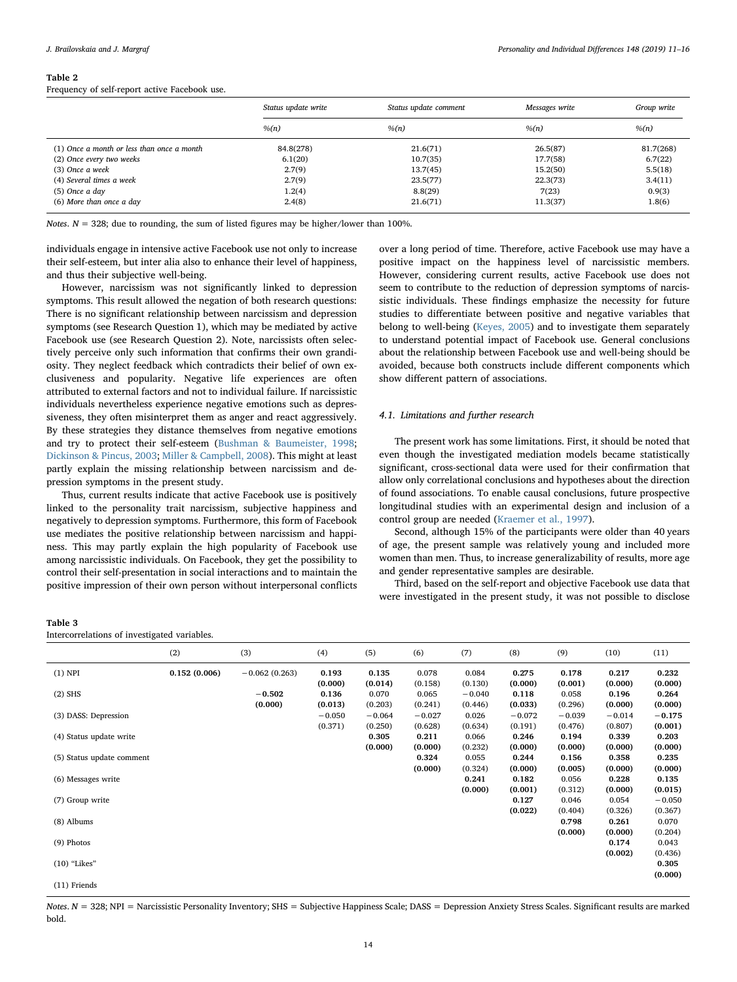#### <span id="page-3-0"></span>Table 2

<span id="page-3-1"></span>Table 3

Intercorrelations of investigated variables.

Frequency of self-report active Facebook use.

|                                            | Status update write | Status update comment | Messages write | Group write |
|--------------------------------------------|---------------------|-----------------------|----------------|-------------|
|                                            | $%$ (n)             | $%$ $(n)$             | $%$ (n)        | $%$ (n)     |
| (1) Once a month or less than once a month | 84.8(278)           | 21.6(71)              | 26.5(87)       | 81.7(268)   |
| (2) Once every two weeks                   | 6.1(20)             | 10.7(35)              | 17.7(58)       | 6.7(22)     |
| (3) Once a week                            | 2.7(9)              | 13.7(45)              | 15.2(50)       | 5.5(18)     |
| (4) Several times a week                   | 2.7(9)              | 23.5(77)              | 22.3(73)       | 3.4(11)     |
| $(5)$ Once a day                           | 1.2(4)              | 8.8(29)               | 7(23)          | 0.9(3)      |
| (6) More than once a day                   | 2.4(8)              | 21.6(71)              | 11.3(37)       | 1.8(6)      |

*Notes.*  $N = 328$ ; due to rounding, the sum of listed figures may be higher/lower than 100%.

individuals engage in intensive active Facebook use not only to increase their self-esteem, but inter alia also to enhance their level of happiness, and thus their subjective well-being.

However, narcissism was not significantly linked to depression symptoms. This result allowed the negation of both research questions: There is no significant relationship between narcissism and depression symptoms (see Research Question 1), which may be mediated by active Facebook use (see Research Question 2). Note, narcissists often selectively perceive only such information that confirms their own grandiosity. They neglect feedback which contradicts their belief of own exclusiveness and popularity. Negative life experiences are often attributed to external factors and not to individual failure. If narcissistic individuals nevertheless experience negative emotions such as depressiveness, they often misinterpret them as anger and react aggressively. By these strategies they distance themselves from negative emotions and try to protect their self-esteem [\(Bushman & Baumeister, 1998](#page-4-17); [Dickinson & Pincus, 2003;](#page-4-18) [Miller & Campbell, 2008](#page-5-22)). This might at least partly explain the missing relationship between narcissism and depression symptoms in the present study.

Thus, current results indicate that active Facebook use is positively linked to the personality trait narcissism, subjective happiness and negatively to depression symptoms. Furthermore, this form of Facebook use mediates the positive relationship between narcissism and happiness. This may partly explain the high popularity of Facebook use among narcissistic individuals. On Facebook, they get the possibility to control their self-presentation in social interactions and to maintain the positive impression of their own person without interpersonal conflicts

over a long period of time. Therefore, active Facebook use may have a positive impact on the happiness level of narcissistic members. However, considering current results, active Facebook use does not seem to contribute to the reduction of depression symptoms of narcissistic individuals. These findings emphasize the necessity for future studies to differentiate between positive and negative variables that belong to well-being [\(Keyes, 2005\)](#page-4-8) and to investigate them separately to understand potential impact of Facebook use. General conclusions about the relationship between Facebook use and well-being should be avoided, because both constructs include different components which show different pattern of associations.

# 4.1. Limitations and further research

The present work has some limitations. First, it should be noted that even though the investigated mediation models became statistically significant, cross-sectional data were used for their confirmation that allow only correlational conclusions and hypotheses about the direction of found associations. To enable causal conclusions, future prospective longitudinal studies with an experimental design and inclusion of a control group are needed [\(Kraemer et al., 1997\)](#page-5-23).

Second, although 15% of the participants were older than 40 years of age, the present sample was relatively young and included more women than men. Thus, to increase generalizability of results, more age and gender representative samples are desirable.

Third, based on the self-report and objective Facebook use data that were investigated in the present study, it was not possible to disclose

|                           | (2)          | (3)             | (4)                 | (5)                 | (6)                 | (7)                 | (8)                 | (9)                 | (10)                | (11)                |
|---------------------------|--------------|-----------------|---------------------|---------------------|---------------------|---------------------|---------------------|---------------------|---------------------|---------------------|
| $(1)$ NPI                 | 0.152(0.006) | $-0.062(0.263)$ | 0.193               | 0.135               | 0.078               | 0.084               | 0.275               | 0.178               | 0.217               | 0.232               |
| $(2)$ SHS                 |              | $-0.502$        | (0.000)<br>0.136    | (0.014)<br>0.070    | (0.158)<br>0.065    | (0.130)<br>$-0.040$ | (0.000)<br>0.118    | (0.001)<br>0.058    | (0.000)<br>0.196    | (0.000)<br>0.264    |
| (3) DASS: Depression      |              | (0.000)         | (0.013)<br>$-0.050$ | (0.203)<br>$-0.064$ | (0.241)<br>$-0.027$ | (0.446)<br>0.026    | (0.033)<br>$-0.072$ | (0.296)<br>$-0.039$ | (0.000)<br>$-0.014$ | (0.000)<br>$-0.175$ |
|                           |              |                 | (0.371)             | (0.250)             | (0.628)             | (0.634)             | (0.191)             | (0.476)             | (0.807)             | (0.001)             |
| (4) Status update write   |              |                 |                     | 0.305<br>(0.000)    | 0.211<br>(0.000)    | 0.066<br>(0.232)    | 0.246<br>(0.000)    | 0.194<br>(0.000)    | 0.339<br>(0.000)    | 0.203<br>(0.000)    |
| (5) Status update comment |              |                 |                     |                     | 0.324               | 0.055               | 0.244               | 0.156               | 0.358               | 0.235               |
|                           |              |                 |                     |                     | (0.000)             | (0.324)             | (0.000)             | (0.005)             | (0.000)             | (0.000)             |
| (6) Messages write        |              |                 |                     |                     |                     | 0.241<br>(0.000)    | 0.182<br>(0.001)    | 0.056<br>(0.312)    | 0.228<br>(0.000)    | 0.135<br>(0.015)    |
| (7) Group write           |              |                 |                     |                     |                     |                     | 0.127               | 0.046               | 0.054               | $-0.050$            |
| (8) Albums                |              |                 |                     |                     |                     |                     | (0.022)             | (0.404)<br>0.798    | (0.326)<br>0.261    | (0.367)<br>0.070    |
|                           |              |                 |                     |                     |                     |                     |                     | (0.000)             | (0.000)             | (0.204)             |
| (9) Photos                |              |                 |                     |                     |                     |                     |                     |                     | 0.174<br>(0.002)    | 0.043<br>(0.436)    |
| $(10)$ "Likes"            |              |                 |                     |                     |                     |                     |                     |                     |                     | 0.305               |
| (11) Friends              |              |                 |                     |                     |                     |                     |                     |                     |                     | (0.000)             |
|                           |              |                 |                     |                     |                     |                     |                     |                     |                     |                     |

Notes. N = 328; NPI = Narcissistic Personality Inventory; SHS = Subjective Happiness Scale; DASS = Depression Anxiety Stress Scales. Significant results are marked bold.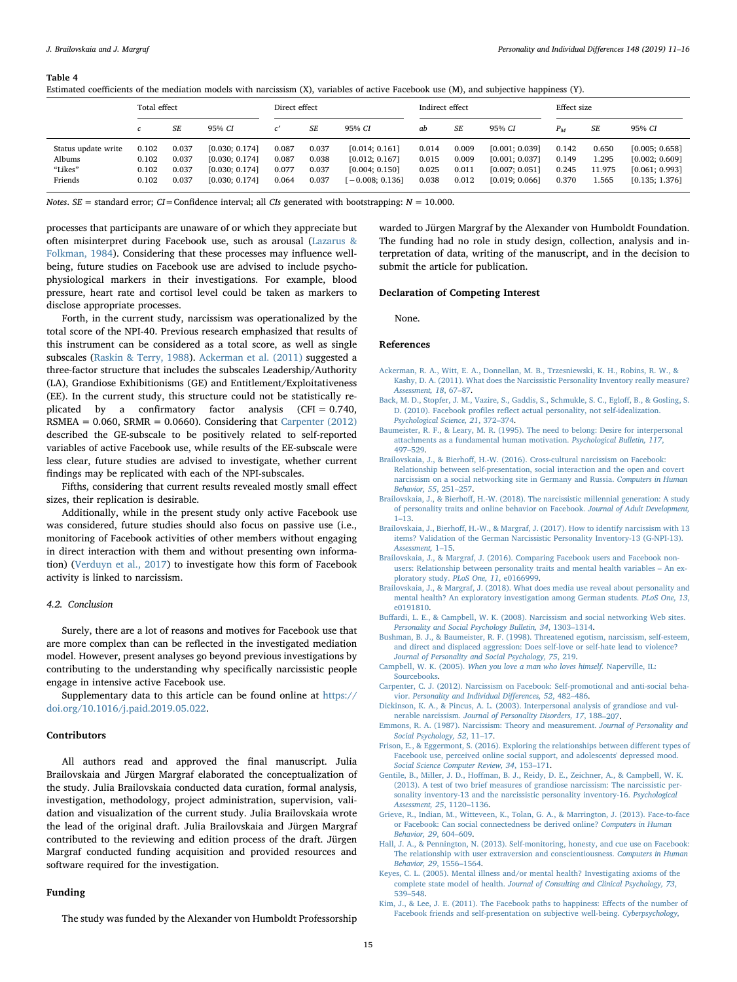#### <span id="page-4-14"></span>Table 4

| Estimated coefficients of the mediation models with narcissism (X), variables of active Facebook use (M), and subjective happiness (Y). |  |  |  |  |
|-----------------------------------------------------------------------------------------------------------------------------------------|--|--|--|--|
|-----------------------------------------------------------------------------------------------------------------------------------------|--|--|--|--|

|                                                     | Total effect                     |                                  |                                                                      | Direct effect                    |                                  | Indirect effect                                                         |                                  |                                  | Effect size                                                        |                                  |                                   |                                                                      |
|-----------------------------------------------------|----------------------------------|----------------------------------|----------------------------------------------------------------------|----------------------------------|----------------------------------|-------------------------------------------------------------------------|----------------------------------|----------------------------------|--------------------------------------------------------------------|----------------------------------|-----------------------------------|----------------------------------------------------------------------|
|                                                     | $\mathfrak{c}$                   | SE                               | 95% CI                                                               | c'                               | SF.                              | 95% CI                                                                  | ab                               | SE                               | 95% CI                                                             | $P_M$                            | SE                                | 95% CI                                                               |
| Status update write<br>Albums<br>"Likes"<br>Friends | 0.102<br>0.102<br>0.102<br>0.102 | 0.037<br>0.037<br>0.037<br>0.037 | [0.030: 0.174]<br>[0.030; 0.174]<br>[0.030; 0.174]<br>[0.030: 0.174] | 0.087<br>0.087<br>0.077<br>0.064 | 0.037<br>0.038<br>0.037<br>0.037 | [0.014; 0.161]<br>[0.012; 0.167]<br>[0.004; 0.150]<br>$[-0.008; 0.136]$ | 0.014<br>0.015<br>0.025<br>0.038 | 0.009<br>0.009<br>0.011<br>0.012 | [0.001:0.039]<br>[0.001; 0.037]<br>[0.007:0.051]<br>[0.019; 0.066] | 0.142<br>0.149<br>0.245<br>0.370 | 0.650<br>1.295<br>11.975<br>1.565 | [0.005: 0.658]<br>[0.002; 0.609]<br>[0.061: 0.993]<br>[0.135: 1.376] |

Notes.  $SE$  = standard error;  $CI$  = Confidence interval; all CIs generated with bootstrapping:  $N = 10.000$ .

processes that participants are unaware of or which they appreciate but often misinterpret during Facebook use, such as arousal [\(Lazarus &](#page-5-24) [Folkman, 1984](#page-5-24)). Considering that these processes may influence wellbeing, future studies on Facebook use are advised to include psychophysiological markers in their investigations. For example, blood pressure, heart rate and cortisol level could be taken as markers to disclose appropriate processes.

Forth, in the current study, narcissism was operationalized by the total score of the NPI-40. Previous research emphasized that results of this instrument can be considered as a total score, as well as single subscales ([Raskin & Terry, 1988](#page-5-17)). [Ackerman et al. \(2011\)](#page-4-19) suggested a three-factor structure that includes the subscales Leadership/Authority (LA), Grandiose Exhibitionisms (GE) and Entitlement/Exploitativeness (EE). In the current study, this structure could not be statistically replicated by a confirmatory factor analysis  $(CFI = 0.740,$ RSMEA =  $0.060$ , SRMR =  $0.0660$ ). Considering that [Carpenter \(2012\)](#page-4-3) described the GE-subscale to be positively related to self-reported variables of active Facebook use, while results of the EE-subscale were less clear, future studies are advised to investigate, whether current findings may be replicated with each of the NPI-subscales.

Fifths, considering that current results revealed mostly small effect sizes, their replication is desirable.

Additionally, while in the present study only active Facebook use was considered, future studies should also focus on passive use (i.e., monitoring of Facebook activities of other members without engaging in direct interaction with them and without presenting own information) [\(Verduyn et al., 2017\)](#page-5-12) to investigate how this form of Facebook activity is linked to narcissism.

## 4.2. Conclusion

Surely, there are a lot of reasons and motives for Facebook use that are more complex than can be reflected in the investigated mediation model. However, present analyses go beyond previous investigations by contributing to the understanding why specifically narcissistic people engage in intensive active Facebook use.

Supplementary data to this article can be found online at [https://](https://doi.org/10.1016/j.paid.2019.05.022) [doi.org/10.1016/j.paid.2019.05.022.](https://doi.org/10.1016/j.paid.2019.05.022)

## **Contributors**

All authors read and approved the final manuscript. Julia Brailovskaia and Jürgen Margraf elaborated the conceptualization of the study. Julia Brailovskaia conducted data curation, formal analysis, investigation, methodology, project administration, supervision, validation and visualization of the current study. Julia Brailovskaia wrote the lead of the original draft. Julia Brailovskaia and Jürgen Margraf contributed to the reviewing and edition process of the draft. Jürgen Margraf conducted funding acquisition and provided resources and software required for the investigation.

#### Funding

The study was funded by the Alexander von Humboldt Professorship

warded to Jürgen Margraf by the Alexander von Humboldt Foundation. The funding had no role in study design, collection, analysis and interpretation of data, writing of the manuscript, and in the decision to submit the article for publication.

#### Declaration of Competing Interest

None.

#### References

- <span id="page-4-19"></span>[Ackerman, R. A., Witt, E. A., Donnellan, M. B., Trzesniewski, K. H., Robins, R. W., &](http://refhub.elsevier.com/S0191-8869(19)30312-5/rf0005) [Kashy, D. A. \(2011\). What does the Narcissistic Personality Inventory really measure?](http://refhub.elsevier.com/S0191-8869(19)30312-5/rf0005) [Assessment, 18](http://refhub.elsevier.com/S0191-8869(19)30312-5/rf0005), 67–87.
- <span id="page-4-0"></span>[Back, M. D., Stopfer, J. M., Vazire, S., Gaddis, S., Schmukle, S. C., Eglo](http://refhub.elsevier.com/S0191-8869(19)30312-5/rf0010)ff, B., & Gosling, S. D. (2010). Facebook profiles refl[ect actual personality, not self-idealization.](http://refhub.elsevier.com/S0191-8869(19)30312-5/rf0010) [Psychological Science, 21](http://refhub.elsevier.com/S0191-8869(19)30312-5/rf0010), 372–374.
- <span id="page-4-16"></span>[Baumeister, R. F., & Leary, M. R. \(1995\). The need to belong: Desire for interpersonal](http://refhub.elsevier.com/S0191-8869(19)30312-5/rf0015) [attachments as a fundamental human motivation.](http://refhub.elsevier.com/S0191-8869(19)30312-5/rf0015) Psychological Bulletin, 117, 497–[529](http://refhub.elsevier.com/S0191-8869(19)30312-5/rf0015).
- <span id="page-4-4"></span>Brailovskaia, J., & Bierhoff[, H.-W. \(2016\). Cross-cultural narcissism on Facebook:](http://refhub.elsevier.com/S0191-8869(19)30312-5/rf0020) [Relationship between self-presentation, social interaction and the open and covert](http://refhub.elsevier.com/S0191-8869(19)30312-5/rf0020) [narcissism on a social networking site in Germany and Russia.](http://refhub.elsevier.com/S0191-8869(19)30312-5/rf0020) Computers in Human [Behavior, 55](http://refhub.elsevier.com/S0191-8869(19)30312-5/rf0020), 251–257.
- Brailovskaia, J., & Bierhoff[, H.-W. \(2018\). The narcissistic millennial generation: A study](http://refhub.elsevier.com/S0191-8869(19)30312-5/rf0025) [of personality traits and online behavior on Facebook.](http://refhub.elsevier.com/S0191-8869(19)30312-5/rf0025) Journal of Adult Development, 1–[13.](http://refhub.elsevier.com/S0191-8869(19)30312-5/rf0025)
- <span id="page-4-12"></span>Brailovskaia, J., Bierhoff[, H.-W., & Margraf, J. \(2017\). How to identify narcissism with 13](http://refhub.elsevier.com/S0191-8869(19)30312-5/rf0030) [items? Validation of the German Narcissistic Personality Inventory-13 \(G-NPI-13\).](http://refhub.elsevier.com/S0191-8869(19)30312-5/rf0030) [Assessment,](http://refhub.elsevier.com/S0191-8869(19)30312-5/rf0030) 1–15.
- <span id="page-4-7"></span>[Brailovskaia, J., & Margraf, J. \(2016\). Comparing Facebook users and Facebook non](http://refhub.elsevier.com/S0191-8869(19)30312-5/rf0035)[users: Relationship between personality traits and mental health variables](http://refhub.elsevier.com/S0191-8869(19)30312-5/rf0035) – An ex[ploratory study.](http://refhub.elsevier.com/S0191-8869(19)30312-5/rf0035) PLoS One, 11, e0166999.
- <span id="page-4-15"></span>[Brailovskaia, J., & Margraf, J. \(2018\). What does media use reveal about personality and](http://refhub.elsevier.com/S0191-8869(19)30312-5/rf0040) [mental health? An exploratory investigation among German students.](http://refhub.elsevier.com/S0191-8869(19)30312-5/rf0040) PLoS One, 13, [e0191810.](http://refhub.elsevier.com/S0191-8869(19)30312-5/rf0040)
- <span id="page-4-2"></span>Buff[ardi, L. E., & Campbell, W. K. \(2008\). Narcissism and social networking Web sites.](http://refhub.elsevier.com/S0191-8869(19)30312-5/rf0045) [Personality and Social Psychology Bulletin, 34](http://refhub.elsevier.com/S0191-8869(19)30312-5/rf0045), 1303–1314.
- <span id="page-4-17"></span>[Bushman, B. J., & Baumeister, R. F. \(1998\). Threatened egotism, narcissism, self-esteem,](http://refhub.elsevier.com/S0191-8869(19)30312-5/rf0050) [and direct and displaced aggression: Does self-love or self-hate lead to violence?](http://refhub.elsevier.com/S0191-8869(19)30312-5/rf0050) [Journal of Personality and Social Psychology, 75](http://refhub.elsevier.com/S0191-8869(19)30312-5/rf0050), 219.
- <span id="page-4-6"></span>Campbell, W. K. (2005). [When you love a man who loves himself.](http://refhub.elsevier.com/S0191-8869(19)30312-5/rf0055) Naperville, IL: **Sourcebooks**
- <span id="page-4-3"></span>[Carpenter, C. J. \(2012\). Narcissism on Facebook: Self-promotional and anti-social beha](http://refhub.elsevier.com/S0191-8869(19)30312-5/rf0060)vior. [Personality and Individual Di](http://refhub.elsevier.com/S0191-8869(19)30312-5/rf0060)fferences, 52, 482–486.
- <span id="page-4-18"></span>[Dickinson, K. A., & Pincus, A. L. \(2003\). Interpersonal analysis of grandiose and vul](http://refhub.elsevier.com/S0191-8869(19)30312-5/rf0065)nerable narcissism. [Journal of Personality Disorders, 17](http://refhub.elsevier.com/S0191-8869(19)30312-5/rf0065), 188–207.
- <span id="page-4-5"></span>Emmons, [R. A. \(1987\). Narcissism: Theory and measurement.](http://refhub.elsevier.com/S0191-8869(19)30312-5/rf0070) Journal of Personality and [Social Psychology, 52](http://refhub.elsevier.com/S0191-8869(19)30312-5/rf0070), 11–17.
- <span id="page-4-9"></span>[Frison, E., & Eggermont, S. \(2016\). Exploring the relationships between di](http://refhub.elsevier.com/S0191-8869(19)30312-5/rf0075)fferent types of [Facebook use, perceived online social support, and adolescents' depressed mood.](http://refhub.elsevier.com/S0191-8869(19)30312-5/rf0075) [Social Science Computer Review, 34](http://refhub.elsevier.com/S0191-8869(19)30312-5/rf0075), 153–171.
- <span id="page-4-13"></span>Gentile, B., Miller, J. D., Hoff[man, B. J., Reidy, D. E., Zeichner, A., & Campbell, W. K.](http://refhub.elsevier.com/S0191-8869(19)30312-5/rf0080) [\(2013\). A test of two brief measures of grandiose narcissism: The narcissistic per](http://refhub.elsevier.com/S0191-8869(19)30312-5/rf0080)[sonality inventory-13 and the narcissistic personality inventory-16.](http://refhub.elsevier.com/S0191-8869(19)30312-5/rf0080) Psychological [Assessment, 25](http://refhub.elsevier.com/S0191-8869(19)30312-5/rf0080), 1120–1136.
- <span id="page-4-11"></span>[Grieve, R., Indian, M., Witteveen, K., Tolan, G. A., & Marrington, J. \(2013\). Face-to-face](http://refhub.elsevier.com/S0191-8869(19)30312-5/rf0085) [or Facebook: Can social connectedness be derived online?](http://refhub.elsevier.com/S0191-8869(19)30312-5/rf0085) Computers in Human [Behavior, 29](http://refhub.elsevier.com/S0191-8869(19)30312-5/rf0085), 604–609.
- <span id="page-4-1"></span>[Hall, J. A., & Pennington, N. \(2013\). Self-monitoring, honesty, and cue use on Facebook:](http://refhub.elsevier.com/S0191-8869(19)30312-5/rf0090) [The relationship with user extraversion and conscientiousness.](http://refhub.elsevier.com/S0191-8869(19)30312-5/rf0090) Computers in Human [Behavior, 29](http://refhub.elsevier.com/S0191-8869(19)30312-5/rf0090), 1556–1564.
- <span id="page-4-8"></span>[Keyes, C. L. \(2005\). Mental illness and/or mental health? Investigating axioms of the](http://refhub.elsevier.com/S0191-8869(19)30312-5/rf0095) complete state model of health. [Journal of Consulting and Clinical Psychology, 73](http://refhub.elsevier.com/S0191-8869(19)30312-5/rf0095), 539–[548](http://refhub.elsevier.com/S0191-8869(19)30312-5/rf0095).
- <span id="page-4-10"></span>[Kim, J., & Lee, J. E. \(2011\). The Facebook paths to happiness: E](http://refhub.elsevier.com/S0191-8869(19)30312-5/rf0100)ffects of the number of [Facebook friends and self-presentation on subjective well-being.](http://refhub.elsevier.com/S0191-8869(19)30312-5/rf0100) Cyberpsychology,